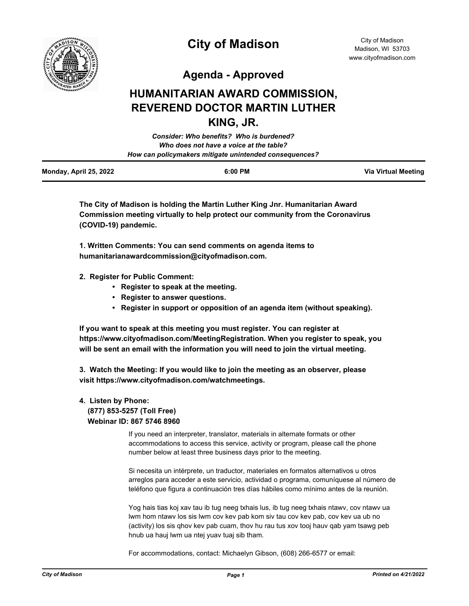

# **City of Madison**

City of Madison Madison, WI 53703 www.cityofmadison.com

**Agenda - Approved**

# **HUMANITARIAN AWARD COMMISSION, REVEREND DOCTOR MARTIN LUTHER KING, JR.**

| Consider: Who benefits? Who is burdened?               |  |
|--------------------------------------------------------|--|
| Who does not have a voice at the table?                |  |
| How can policymakers mitigate unintended consequences? |  |
|                                                        |  |

| Monday, April 25, 2022 | 6:00 PM | <b>Via Virtual Meeting</b> |
|------------------------|---------|----------------------------|
|                        |         |                            |

**The City of Madison is holding the Martin Luther King Jnr. Humanitarian Award Commission meeting virtually to help protect our community from the Coronavirus (COVID-19) pandemic.**

**1. Written Comments: You can send comments on agenda items to humanitarianawardcommission@cityofmadison.com.**

- **2. Register for Public Comment:** 
	- **Register to speak at the meeting.**
	- **Register to answer questions.**
	- **Register in support or opposition of an agenda item (without speaking).**

**If you want to speak at this meeting you must register. You can register at https://www.cityofmadison.com/MeetingRegistration. When you register to speak, you will be sent an email with the information you will need to join the virtual meeting.**

**3. Watch the Meeting: If you would like to join the meeting as an observer, please visit https://www.cityofmadison.com/watchmeetings.**

# **4. Listen by Phone: (877) 853-5257 (Toll Free) Webinar ID: 867 5746 8960**

If you need an interpreter, translator, materials in alternate formats or other accommodations to access this service, activity or program, please call the phone number below at least three business days prior to the meeting.

Si necesita un intérprete, un traductor, materiales en formatos alternativos u otros arreglos para acceder a este servicio, actividad o programa, comuníquese al número de teléfono que figura a continuación tres días hábiles como mínimo antes de la reunión.

Yog hais tias koj xav tau ib tug neeg txhais lus, ib tug neeg txhais ntawv, cov ntawv ua lwm hom ntawv los sis lwm cov kev pab kom siv tau cov kev pab, cov kev ua ub no (activity) los sis qhov kev pab cuam, thov hu rau tus xov tooj hauv qab yam tsawg peb hnub ua hauj lwm ua ntej yuav tuaj sib tham.

For accommodations, contact: Michaelyn Gibson, (608) 266-6577 or email: